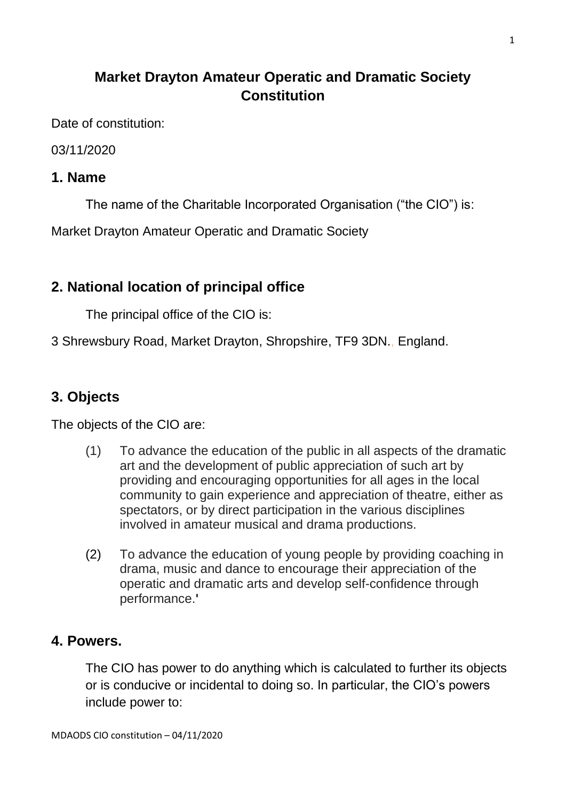# **Market Drayton Amateur Operatic and Dramatic Society Constitution**

Date of constitution:

03/11/2020

#### **1. Name**

The name of the Charitable Incorporated Organisation ("the CIO") is:

Market Drayton Amateur Operatic and Dramatic Society

# **2. National location of principal office**

The principal office of the CIO is:

3 Shrewsbury Road, Market Drayton, Shropshire, TF9 3DN., England.

# **3. Objects**

The objects of the CIO are:

- (1) To advance the education of the public in all aspects of the dramatic art and the development of public appreciation of such art by providing and encouraging opportunities for all ages in the local community to gain experience and appreciation of theatre, either as spectators, or by direct participation in the various disciplines involved in amateur musical and drama productions.
- (2) To advance the education of young people by providing coaching in drama, music and dance to encourage their appreciation of the operatic and dramatic arts and develop self-confidence through performance.**'**

## **4. Powers.**

The CIO has power to do anything which is calculated to further its objects or is conducive or incidental to doing so. In particular, the CIO's powers include power to: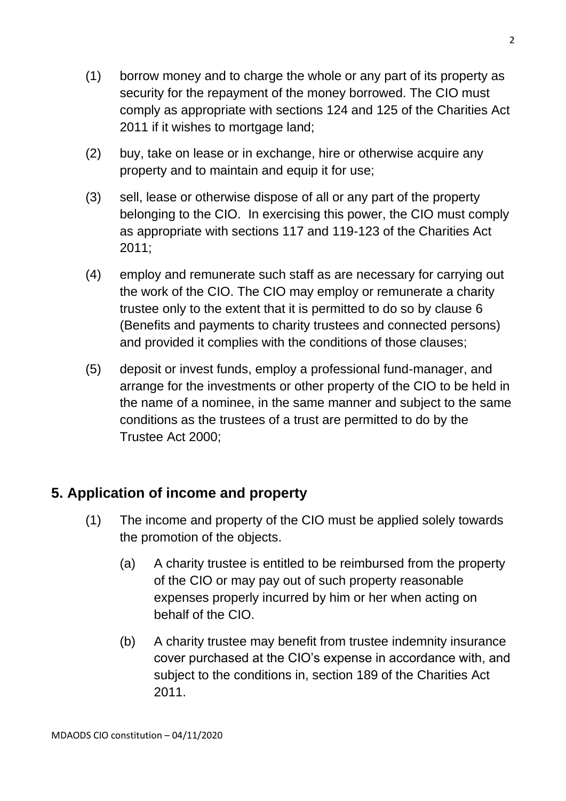- (1) borrow money and to charge the whole or any part of its property as security for the repayment of the money borrowed. The CIO must comply as appropriate with sections 124 and 125 of the Charities Act 2011 if it wishes to mortgage land;
- (2) buy, take on lease or in exchange, hire or otherwise acquire any property and to maintain and equip it for use;
- (3) sell, lease or otherwise dispose of all or any part of the property belonging to the CIO. In exercising this power, the CIO must comply as appropriate with sections 117 and 119-123 of the Charities Act 2011;
- (4) employ and remunerate such staff as are necessary for carrying out the work of the CIO. The CIO may employ or remunerate a charity trustee only to the extent that it is permitted to do so by clause 6 (Benefits and payments to charity trustees and connected persons) and provided it complies with the conditions of those clauses;
- (5) deposit or invest funds, employ a professional fund-manager, and arrange for the investments or other property of the CIO to be held in the name of a nominee, in the same manner and subject to the same conditions as the trustees of a trust are permitted to do by the Trustee Act 2000;

# **5. Application of income and property**

- (1) The income and property of the CIO must be applied solely towards the promotion of the objects.
	- (a) A charity trustee is entitled to be reimbursed from the property of the CIO or may pay out of such property reasonable expenses properly incurred by him or her when acting on behalf of the CIO.
	- (b) A charity trustee may benefit from trustee indemnity insurance cover purchased at the CIO's expense in accordance with, and subject to the conditions in, section 189 of the Charities Act 2011.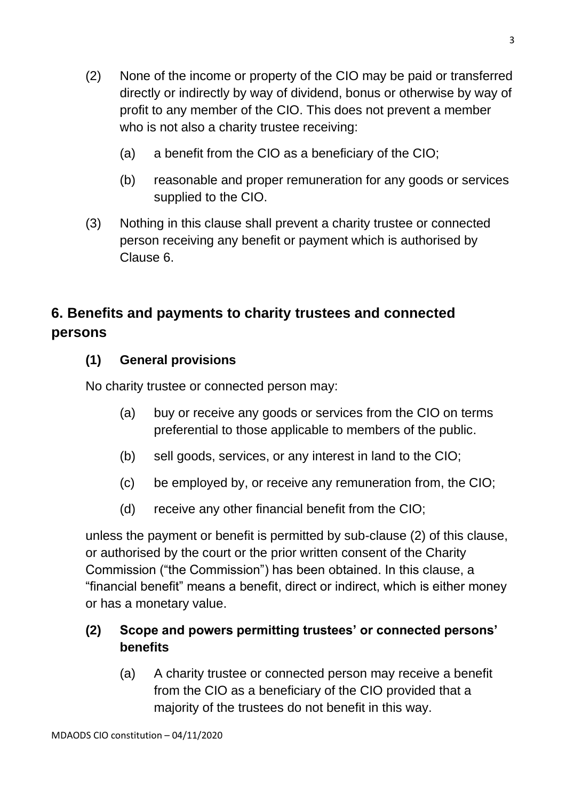- (2) None of the income or property of the CIO may be paid or transferred directly or indirectly by way of dividend, bonus or otherwise by way of profit to any member of the CIO. This does not prevent a member who is not also a charity trustee receiving:
	- (a) a benefit from the CIO as a beneficiary of the CIO;
	- (b) reasonable and proper remuneration for any goods or services supplied to the CIO.
- (3) Nothing in this clause shall prevent a charity trustee or connected person receiving any benefit or payment which is authorised by Clause 6.

# **6. Benefits and payments to charity trustees and connected persons**

#### **(1) General provisions**

No charity trustee or connected person may:

- (a) buy or receive any goods or services from the CIO on terms preferential to those applicable to members of the public.
- (b) sell goods, services, or any interest in land to the CIO;
- (c) be employed by, or receive any remuneration from, the CIO;
- (d) receive any other financial benefit from the CIO;

unless the payment or benefit is permitted by sub-clause (2) of this clause, or authorised by the court or the prior written consent of the Charity Commission ("the Commission") has been obtained. In this clause, a "financial benefit" means a benefit, direct or indirect, which is either money or has a monetary value.

#### **(2) Scope and powers permitting trustees' or connected persons' benefits**

(a) A charity trustee or connected person may receive a benefit from the CIO as a beneficiary of the CIO provided that a majority of the trustees do not benefit in this way.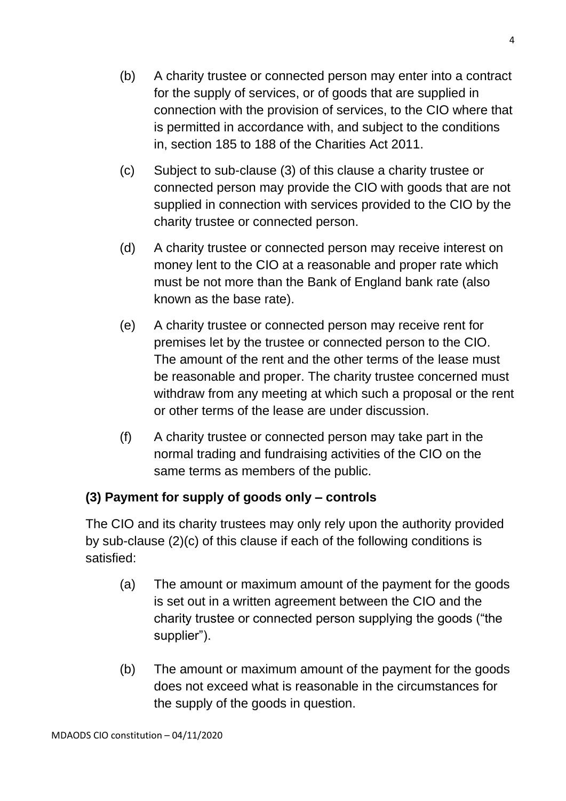- (b) A charity trustee or connected person may enter into a contract for the supply of services, or of goods that are supplied in connection with the provision of services, to the CIO where that is permitted in accordance with, and subject to the conditions in, section 185 to 188 of the Charities Act 2011.
- (c) Subject to sub-clause (3) of this clause a charity trustee or connected person may provide the CIO with goods that are not supplied in connection with services provided to the CIO by the charity trustee or connected person.
- (d) A charity trustee or connected person may receive interest on money lent to the CIO at a reasonable and proper rate which must be not more than the Bank of England bank rate (also known as the base rate).
- (e) A charity trustee or connected person may receive rent for premises let by the trustee or connected person to the CIO. The amount of the rent and the other terms of the lease must be reasonable and proper. The charity trustee concerned must withdraw from any meeting at which such a proposal or the rent or other terms of the lease are under discussion.
- (f) A charity trustee or connected person may take part in the normal trading and fundraising activities of the CIO on the same terms as members of the public.

#### **(3) Payment for supply of goods only – controls**

The CIO and its charity trustees may only rely upon the authority provided by sub-clause (2)(c) of this clause if each of the following conditions is satisfied:

- (a) The amount or maximum amount of the payment for the goods is set out in a written agreement between the CIO and the charity trustee or connected person supplying the goods ("the supplier").
- (b) The amount or maximum amount of the payment for the goods does not exceed what is reasonable in the circumstances for the supply of the goods in question.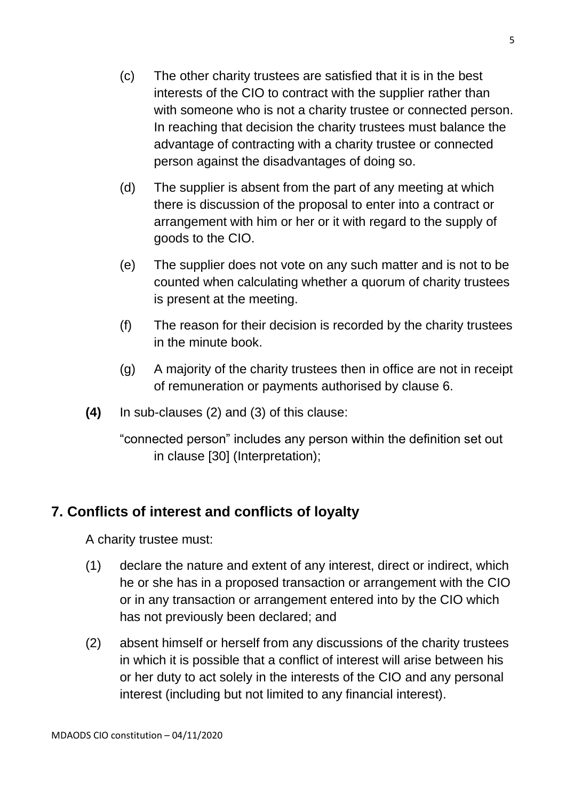- (c) The other charity trustees are satisfied that it is in the best interests of the CIO to contract with the supplier rather than with someone who is not a charity trustee or connected person. In reaching that decision the charity trustees must balance the advantage of contracting with a charity trustee or connected person against the disadvantages of doing so.
- (d) The supplier is absent from the part of any meeting at which there is discussion of the proposal to enter into a contract or arrangement with him or her or it with regard to the supply of goods to the CIO.
- (e) The supplier does not vote on any such matter and is not to be counted when calculating whether a quorum of charity trustees is present at the meeting.
- (f) The reason for their decision is recorded by the charity trustees in the minute book.
- (g) A majority of the charity trustees then in office are not in receipt of remuneration or payments authorised by clause 6.
- **(4)** In sub-clauses (2) and (3) of this clause:

"connected person" includes any person within the definition set out in clause [30] (Interpretation);

# **7. Conflicts of interest and conflicts of loyalty**

A charity trustee must:

- (1) declare the nature and extent of any interest, direct or indirect, which he or she has in a proposed transaction or arrangement with the CIO or in any transaction or arrangement entered into by the CIO which has not previously been declared; and
- (2) absent himself or herself from any discussions of the charity trustees in which it is possible that a conflict of interest will arise between his or her duty to act solely in the interests of the CIO and any personal interest (including but not limited to any financial interest).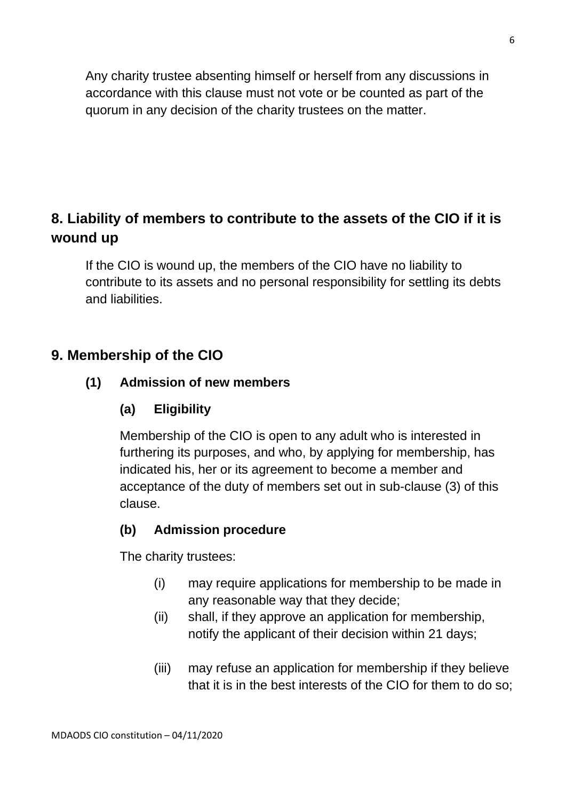Any charity trustee absenting himself or herself from any discussions in accordance with this clause must not vote or be counted as part of the quorum in any decision of the charity trustees on the matter.

# **8. Liability of members to contribute to the assets of the CIO if it is wound up**

If the CIO is wound up, the members of the CIO have no liability to contribute to its assets and no personal responsibility for settling its debts and liabilities.

# **9. Membership of the CIO**

#### **(1) Admission of new members**

#### **(a) Eligibility**

Membership of the CIO is open to any adult who is interested in furthering its purposes, and who, by applying for membership, has indicated his, her or its agreement to become a member and acceptance of the duty of members set out in sub-clause (3) of this clause.

#### **(b) Admission procedure**

The charity trustees:

- (i) may require applications for membership to be made in any reasonable way that they decide;
- (ii) shall, if they approve an application for membership, notify the applicant of their decision within 21 days;
- (iii) may refuse an application for membership if they believe that it is in the best interests of the CIO for them to do so;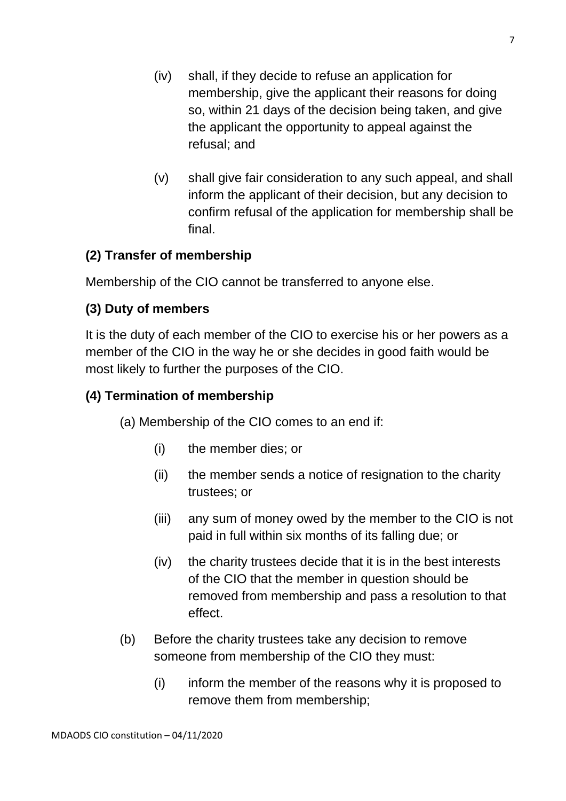- (iv) shall, if they decide to refuse an application for membership, give the applicant their reasons for doing so, within 21 days of the decision being taken, and give the applicant the opportunity to appeal against the refusal; and
- (v) shall give fair consideration to any such appeal, and shall inform the applicant of their decision, but any decision to confirm refusal of the application for membership shall be final.

#### **(2) Transfer of membership**

Membership of the CIO cannot be transferred to anyone else.

## **(3) Duty of members**

It is the duty of each member of the CIO to exercise his or her powers as a member of the CIO in the way he or she decides in good faith would be most likely to further the purposes of the CIO.

## **(4) Termination of membership**

(a) Membership of the CIO comes to an end if:

- (i) the member dies; or
- (ii) the member sends a notice of resignation to the charity trustees; or
- (iii) any sum of money owed by the member to the CIO is not paid in full within six months of its falling due; or
- (iv) the charity trustees decide that it is in the best interests of the CIO that the member in question should be removed from membership and pass a resolution to that effect.
- (b) Before the charity trustees take any decision to remove someone from membership of the CIO they must:
	- (i) inform the member of the reasons why it is proposed to remove them from membership;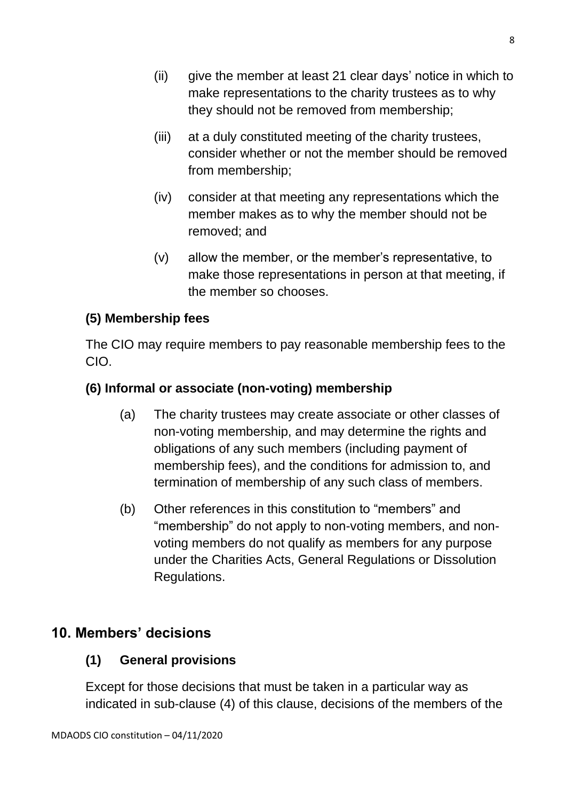- (ii) give the member at least 21 clear days' notice in which to make representations to the charity trustees as to why they should not be removed from membership;
- (iii) at a duly constituted meeting of the charity trustees, consider whether or not the member should be removed from membership;
- (iv) consider at that meeting any representations which the member makes as to why the member should not be removed; and
- (v) allow the member, or the member's representative, to make those representations in person at that meeting, if the member so chooses.

## **(5) Membership fees**

The CIO may require members to pay reasonable membership fees to the CIO.

## **(6) Informal or associate (non-voting) membership**

- (a) The charity trustees may create associate or other classes of non-voting membership, and may determine the rights and obligations of any such members (including payment of membership fees), and the conditions for admission to, and termination of membership of any such class of members.
- (b) Other references in this constitution to "members" and "membership" do not apply to non-voting members, and nonvoting members do not qualify as members for any purpose under the Charities Acts, General Regulations or Dissolution Regulations.

## **10. Members' decisions**

## **(1) General provisions**

Except for those decisions that must be taken in a particular way as indicated in sub-clause (4) of this clause, decisions of the members of the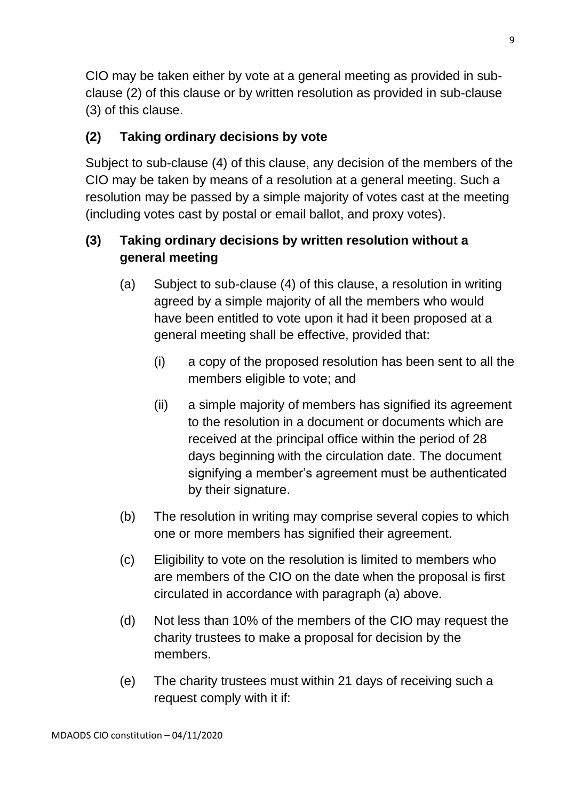CIO may be taken either by vote at a general meeting as provided in subclause (2) of this clause or by written resolution as provided in sub-clause (3) of this clause.

# **(2) Taking ordinary decisions by vote**

Subject to sub-clause (4) of this clause, any decision of the members of the CIO may be taken by means of a resolution at a general meeting. Such a resolution may be passed by a simple majority of votes cast at the meeting (including votes cast by postal or email ballot, and proxy votes).

## **(3) Taking ordinary decisions by written resolution without a general meeting**

- (a) Subject to sub-clause (4) of this clause, a resolution in writing agreed by a simple majority of all the members who would have been entitled to vote upon it had it been proposed at a general meeting shall be effective, provided that:
	- (i) a copy of the proposed resolution has been sent to all the members eligible to vote; and
	- (ii) a simple majority of members has signified its agreement to the resolution in a document or documents which are received at the principal office within the period of 28 days beginning with the circulation date. The document signifying a member's agreement must be authenticated by their signature.
- (b) The resolution in writing may comprise several copies to which one or more members has signified their agreement.
- (c) Eligibility to vote on the resolution is limited to members who are members of the CIO on the date when the proposal is first circulated in accordance with paragraph (a) above.
- (d) Not less than 10% of the members of the CIO may request the charity trustees to make a proposal for decision by the members.
- (e) The charity trustees must within 21 days of receiving such a request comply with it if: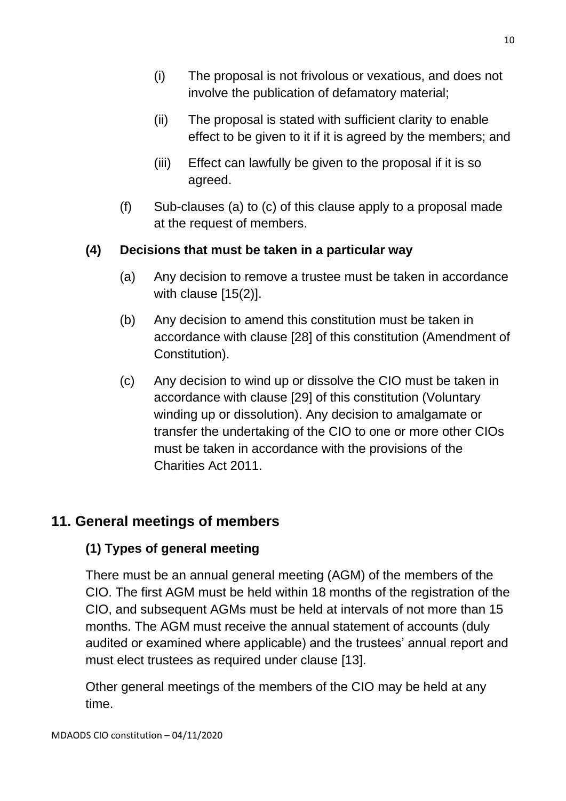- (i) The proposal is not frivolous or vexatious, and does not involve the publication of defamatory material;
- (ii) The proposal is stated with sufficient clarity to enable effect to be given to it if it is agreed by the members; and
- (iii) Effect can lawfully be given to the proposal if it is so agreed.
- (f) Sub-clauses (a) to (c) of this clause apply to a proposal made at the request of members.

## **(4) Decisions that must be taken in a particular way**

- (a) Any decision to remove a trustee must be taken in accordance with clause [15(2)].
- (b) Any decision to amend this constitution must be taken in accordance with clause [28] of this constitution (Amendment of Constitution).
- (c) Any decision to wind up or dissolve the CIO must be taken in accordance with clause [29] of this constitution (Voluntary winding up or dissolution). Any decision to amalgamate or transfer the undertaking of the CIO to one or more other CIOs must be taken in accordance with the provisions of the Charities Act 2011.

# **11. General meetings of members**

## **(1) Types of general meeting**

There must be an annual general meeting (AGM) of the members of the CIO. The first AGM must be held within 18 months of the registration of the CIO, and subsequent AGMs must be held at intervals of not more than 15 months. The AGM must receive the annual statement of accounts (duly audited or examined where applicable) and the trustees' annual report and must elect trustees as required under clause [13].

Other general meetings of the members of the CIO may be held at any time.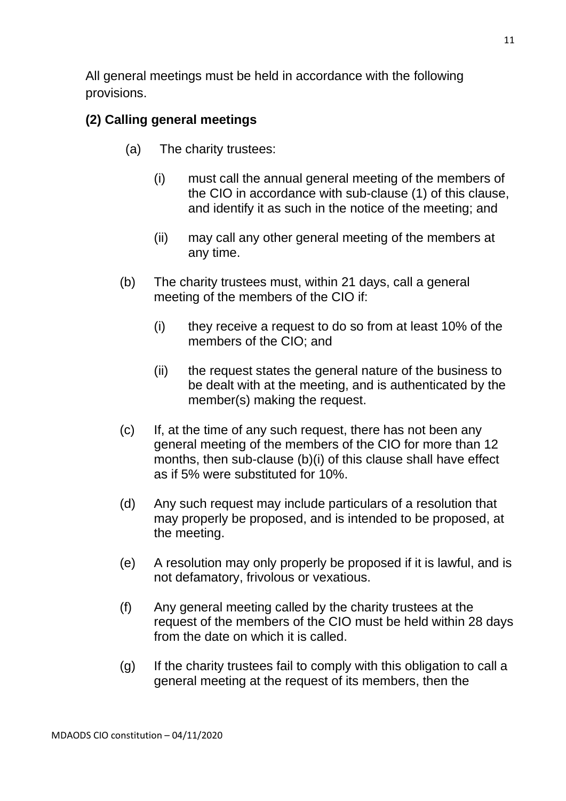All general meetings must be held in accordance with the following provisions.

## **(2) Calling general meetings**

- (a) The charity trustees:
	- (i) must call the annual general meeting of the members of the CIO in accordance with sub-clause (1) of this clause, and identify it as such in the notice of the meeting; and
	- (ii) may call any other general meeting of the members at any time.
- (b) The charity trustees must, within 21 days, call a general meeting of the members of the CIO if:
	- (i) they receive a request to do so from at least 10% of the members of the CIO; and
	- (ii) the request states the general nature of the business to be dealt with at the meeting, and is authenticated by the member(s) making the request.
- (c) If, at the time of any such request, there has not been any general meeting of the members of the CIO for more than 12 months, then sub-clause (b)(i) of this clause shall have effect as if 5% were substituted for 10%.
- (d) Any such request may include particulars of a resolution that may properly be proposed, and is intended to be proposed, at the meeting.
- (e) A resolution may only properly be proposed if it is lawful, and is not defamatory, frivolous or vexatious.
- (f) Any general meeting called by the charity trustees at the request of the members of the CIO must be held within 28 days from the date on which it is called.
- $(q)$  If the charity trustees fail to comply with this obligation to call a general meeting at the request of its members, then the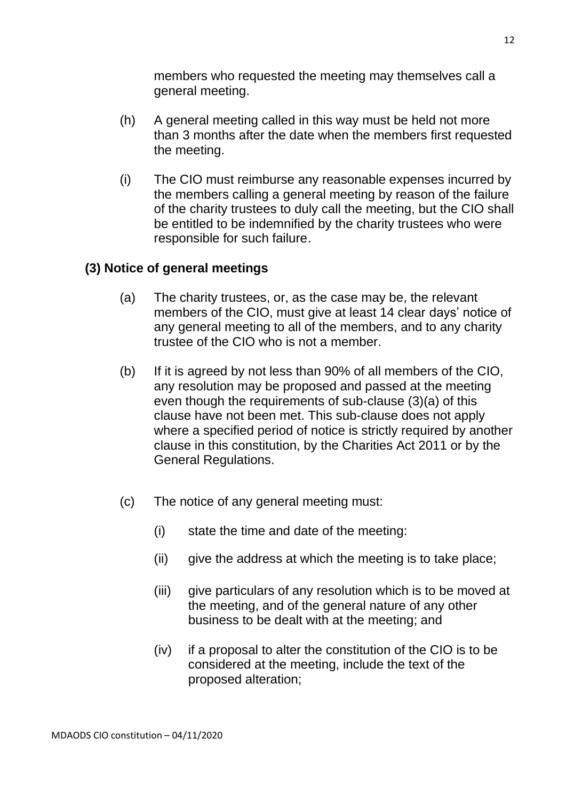members who requested the meeting may themselves call a general meeting.

- (h) A general meeting called in this way must be held not more than 3 months after the date when the members first requested the meeting.
- (i) The CIO must reimburse any reasonable expenses incurred by the members calling a general meeting by reason of the failure of the charity trustees to duly call the meeting, but the CIO shall be entitled to be indemnified by the charity trustees who were responsible for such failure.

#### **(3) Notice of general meetings**

- (a) The charity trustees, or, as the case may be, the relevant members of the CIO, must give at least 14 clear days' notice of any general meeting to all of the members, and to any charity trustee of the CIO who is not a member.
- (b) If it is agreed by not less than 90% of all members of the CIO, any resolution may be proposed and passed at the meeting even though the requirements of sub-clause (3)(a) of this clause have not been met. This sub-clause does not apply where a specified period of notice is strictly required by another clause in this constitution, by the Charities Act 2011 or by the General Regulations.
- (c) The notice of any general meeting must:
	- (i) state the time and date of the meeting:
	- (ii) give the address at which the meeting is to take place;
	- (iii) give particulars of any resolution which is to be moved at the meeting, and of the general nature of any other business to be dealt with at the meeting; and
	- (iv) if a proposal to alter the constitution of the CIO is to be considered at the meeting, include the text of the proposed alteration;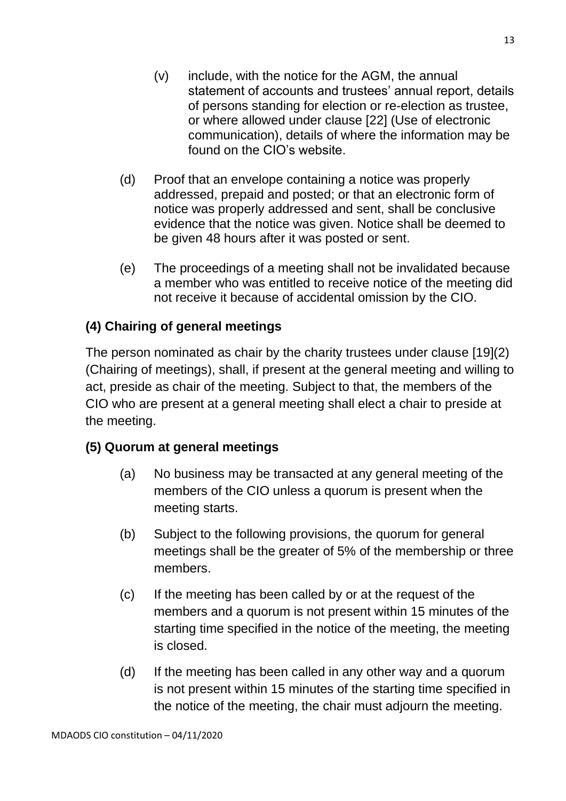- (v) include, with the notice for the AGM, the annual statement of accounts and trustees' annual report, details of persons standing for election or re-election as trustee, or where allowed under clause [22] (Use of electronic communication), details of where the information may be found on the CIO's website.
- (d) Proof that an envelope containing a notice was properly addressed, prepaid and posted; or that an electronic form of notice was properly addressed and sent, shall be conclusive evidence that the notice was given. Notice shall be deemed to be given 48 hours after it was posted or sent.
- (e) The proceedings of a meeting shall not be invalidated because a member who was entitled to receive notice of the meeting did not receive it because of accidental omission by the CIO.

## **(4) Chairing of general meetings**

The person nominated as chair by the charity trustees under clause [19](2) (Chairing of meetings), shall, if present at the general meeting and willing to act, preside as chair of the meeting. Subject to that, the members of the CIO who are present at a general meeting shall elect a chair to preside at the meeting.

## **(5) Quorum at general meetings**

- (a) No business may be transacted at any general meeting of the members of the CIO unless a quorum is present when the meeting starts.
- (b) Subject to the following provisions, the quorum for general meetings shall be the greater of 5% of the membership or three members.
- (c) If the meeting has been called by or at the request of the members and a quorum is not present within 15 minutes of the starting time specified in the notice of the meeting, the meeting is closed.
- (d) If the meeting has been called in any other way and a quorum is not present within 15 minutes of the starting time specified in the notice of the meeting, the chair must adjourn the meeting.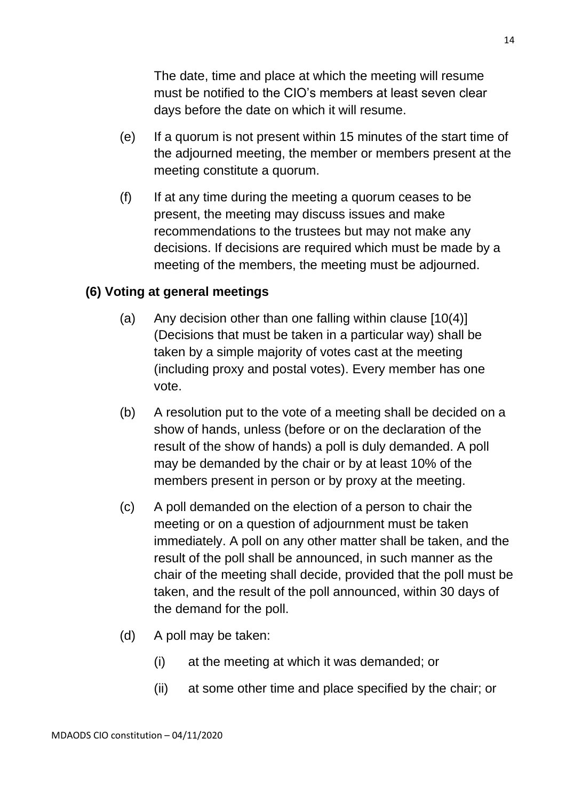The date, time and place at which the meeting will resume must be notified to the CIO's members at least seven clear days before the date on which it will resume.

- (e) If a quorum is not present within 15 minutes of the start time of the adjourned meeting, the member or members present at the meeting constitute a quorum.
- (f) If at any time during the meeting a quorum ceases to be present, the meeting may discuss issues and make recommendations to the trustees but may not make any decisions. If decisions are required which must be made by a meeting of the members, the meeting must be adjourned.

#### **(6) Voting at general meetings**

- (a) Any decision other than one falling within clause [10(4)] (Decisions that must be taken in a particular way) shall be taken by a simple majority of votes cast at the meeting (including proxy and postal votes). Every member has one vote.
- (b) A resolution put to the vote of a meeting shall be decided on a show of hands, unless (before or on the declaration of the result of the show of hands) a poll is duly demanded. A poll may be demanded by the chair or by at least 10% of the members present in person or by proxy at the meeting.
- (c) A poll demanded on the election of a person to chair the meeting or on a question of adjournment must be taken immediately. A poll on any other matter shall be taken, and the result of the poll shall be announced, in such manner as the chair of the meeting shall decide, provided that the poll must be taken, and the result of the poll announced, within 30 days of the demand for the poll.
- (d) A poll may be taken:
	- (i) at the meeting at which it was demanded; or
	- (ii) at some other time and place specified by the chair; or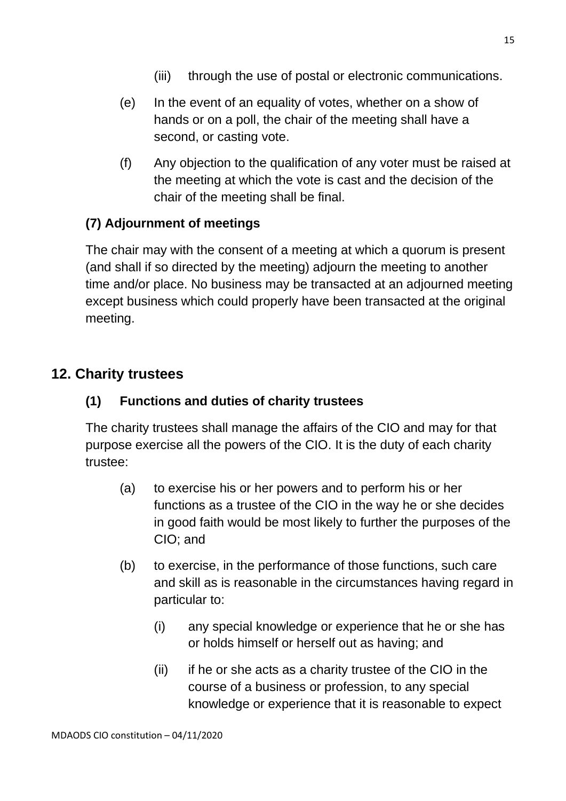- (iii) through the use of postal or electronic communications.
- (e) In the event of an equality of votes, whether on a show of hands or on a poll, the chair of the meeting shall have a second, or casting vote.
- (f) Any objection to the qualification of any voter must be raised at the meeting at which the vote is cast and the decision of the chair of the meeting shall be final.

#### **(7) Adjournment of meetings**

The chair may with the consent of a meeting at which a quorum is present (and shall if so directed by the meeting) adjourn the meeting to another time and/or place. No business may be transacted at an adjourned meeting except business which could properly have been transacted at the original meeting.

## **12. Charity trustees**

#### **(1) Functions and duties of charity trustees**

The charity trustees shall manage the affairs of the CIO and may for that purpose exercise all the powers of the CIO. It is the duty of each charity trustee:

- (a) to exercise his or her powers and to perform his or her functions as a trustee of the CIO in the way he or she decides in good faith would be most likely to further the purposes of the CIO; and
- (b) to exercise, in the performance of those functions, such care and skill as is reasonable in the circumstances having regard in particular to:
	- (i) any special knowledge or experience that he or she has or holds himself or herself out as having; and
	- (ii) if he or she acts as a charity trustee of the CIO in the course of a business or profession, to any special knowledge or experience that it is reasonable to expect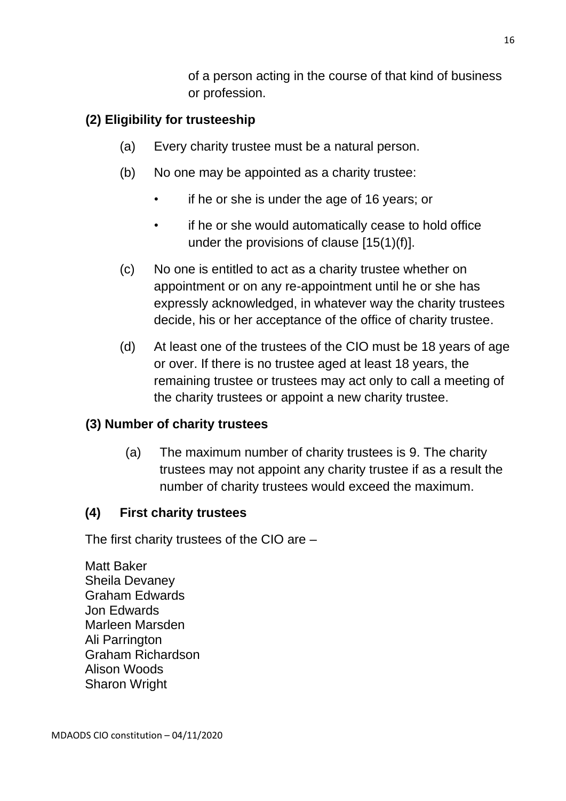of a person acting in the course of that kind of business or profession.

#### **(2) Eligibility for trusteeship**

- (a) Every charity trustee must be a natural person.
- (b) No one may be appointed as a charity trustee:
	- if he or she is under the age of 16 years; or
	- if he or she would automatically cease to hold office under the provisions of clause [15(1)(f)].
- (c) No one is entitled to act as a charity trustee whether on appointment or on any re-appointment until he or she has expressly acknowledged, in whatever way the charity trustees decide, his or her acceptance of the office of charity trustee.
- (d) At least one of the trustees of the CIO must be 18 years of age or over. If there is no trustee aged at least 18 years, the remaining trustee or trustees may act only to call a meeting of the charity trustees or appoint a new charity trustee.

#### **(3) Number of charity trustees**

(a) The maximum number of charity trustees is 9. The charity trustees may not appoint any charity trustee if as a result the number of charity trustees would exceed the maximum.

#### **(4) First charity trustees**

The first charity trustees of the CIO are –

Matt Baker Sheila Devaney Graham Edwards Jon Edwards Marleen Marsden Ali Parrington Graham Richardson Alison Woods Sharon Wright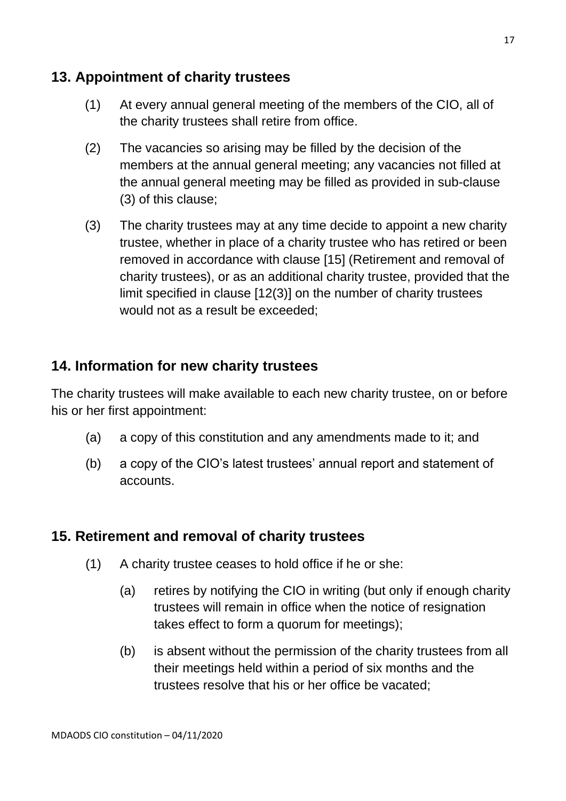## **13. Appointment of charity trustees**

- (1) At every annual general meeting of the members of the CIO, all of the charity trustees shall retire from office.
- (2) The vacancies so arising may be filled by the decision of the members at the annual general meeting; any vacancies not filled at the annual general meeting may be filled as provided in sub-clause (3) of this clause;
- (3) The charity trustees may at any time decide to appoint a new charity trustee, whether in place of a charity trustee who has retired or been removed in accordance with clause [15] (Retirement and removal of charity trustees), or as an additional charity trustee, provided that the limit specified in clause [12(3)] on the number of charity trustees would not as a result be exceeded;

# **14. Information for new charity trustees**

The charity trustees will make available to each new charity trustee, on or before his or her first appointment:

- (a) a copy of this constitution and any amendments made to it; and
- (b) a copy of the CIO's latest trustees' annual report and statement of accounts.

## **15. Retirement and removal of charity trustees**

- (1) A charity trustee ceases to hold office if he or she:
	- (a) retires by notifying the CIO in writing (but only if enough charity trustees will remain in office when the notice of resignation takes effect to form a quorum for meetings);
	- (b) is absent without the permission of the charity trustees from all their meetings held within a period of six months and the trustees resolve that his or her office be vacated;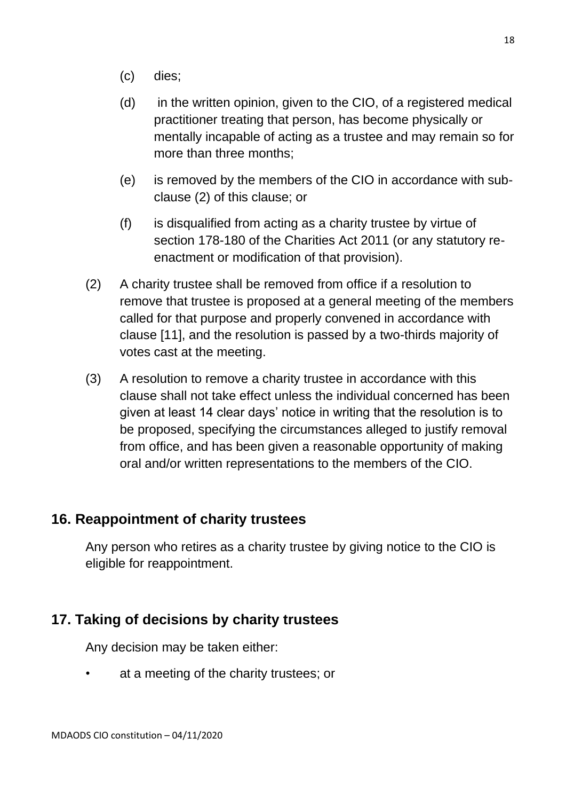- (c) dies;
- (d) in the written opinion, given to the CIO, of a registered medical practitioner treating that person, has become physically or mentally incapable of acting as a trustee and may remain so for more than three months;
- (e) is removed by the members of the CIO in accordance with subclause (2) of this clause; or
- (f) is disqualified from acting as a charity trustee by virtue of section 178-180 of the Charities Act 2011 (or any statutory reenactment or modification of that provision).
- (2) A charity trustee shall be removed from office if a resolution to remove that trustee is proposed at a general meeting of the members called for that purpose and properly convened in accordance with clause [11], and the resolution is passed by a two-thirds majority of votes cast at the meeting.
- (3) A resolution to remove a charity trustee in accordance with this clause shall not take effect unless the individual concerned has been given at least 14 clear days' notice in writing that the resolution is to be proposed, specifying the circumstances alleged to justify removal from office, and has been given a reasonable opportunity of making oral and/or written representations to the members of the CIO.

## **16. Reappointment of charity trustees**

Any person who retires as a charity trustee by giving notice to the CIO is eligible for reappointment.

# **17. Taking of decisions by charity trustees**

Any decision may be taken either:

• at a meeting of the charity trustees; or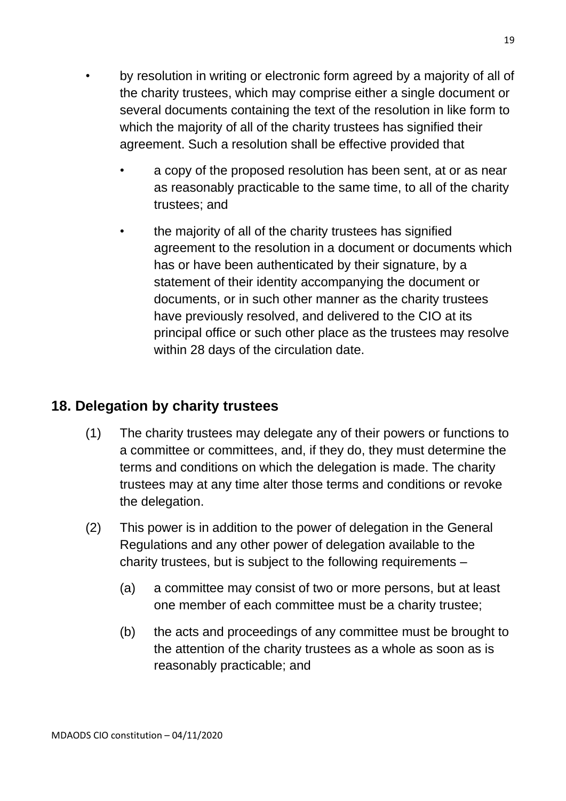- by resolution in writing or electronic form agreed by a majority of all of the charity trustees, which may comprise either a single document or several documents containing the text of the resolution in like form to which the majority of all of the charity trustees has signified their agreement. Such a resolution shall be effective provided that
	- a copy of the proposed resolution has been sent, at or as near as reasonably practicable to the same time, to all of the charity trustees; and
	- the majority of all of the charity trustees has signified agreement to the resolution in a document or documents which has or have been authenticated by their signature, by a statement of their identity accompanying the document or documents, or in such other manner as the charity trustees have previously resolved, and delivered to the CIO at its principal office or such other place as the trustees may resolve within 28 days of the circulation date.

## **18. Delegation by charity trustees**

- (1) The charity trustees may delegate any of their powers or functions to a committee or committees, and, if they do, they must determine the terms and conditions on which the delegation is made. The charity trustees may at any time alter those terms and conditions or revoke the delegation.
- (2) This power is in addition to the power of delegation in the General Regulations and any other power of delegation available to the charity trustees, but is subject to the following requirements –
	- (a) a committee may consist of two or more persons, but at least one member of each committee must be a charity trustee;
	- (b) the acts and proceedings of any committee must be brought to the attention of the charity trustees as a whole as soon as is reasonably practicable; and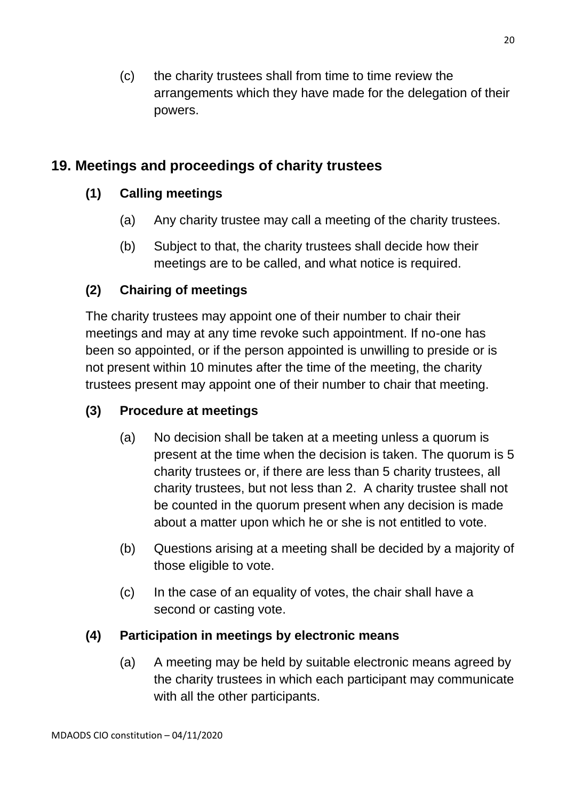(c) the charity trustees shall from time to time review the arrangements which they have made for the delegation of their powers.

# **19. Meetings and proceedings of charity trustees**

## **(1) Calling meetings**

- (a) Any charity trustee may call a meeting of the charity trustees.
- (b) Subject to that, the charity trustees shall decide how their meetings are to be called, and what notice is required.

## **(2) Chairing of meetings**

The charity trustees may appoint one of their number to chair their meetings and may at any time revoke such appointment. If no-one has been so appointed, or if the person appointed is unwilling to preside or is not present within 10 minutes after the time of the meeting, the charity trustees present may appoint one of their number to chair that meeting.

## **(3) Procedure at meetings**

- (a) No decision shall be taken at a meeting unless a quorum is present at the time when the decision is taken. The quorum is 5 charity trustees or, if there are less than 5 charity trustees, all charity trustees, but not less than 2. A charity trustee shall not be counted in the quorum present when any decision is made about a matter upon which he or she is not entitled to vote.
- (b) Questions arising at a meeting shall be decided by a majority of those eligible to vote.
- (c) In the case of an equality of votes, the chair shall have a second or casting vote.

## **(4) Participation in meetings by electronic means**

(a) A meeting may be held by suitable electronic means agreed by the charity trustees in which each participant may communicate with all the other participants.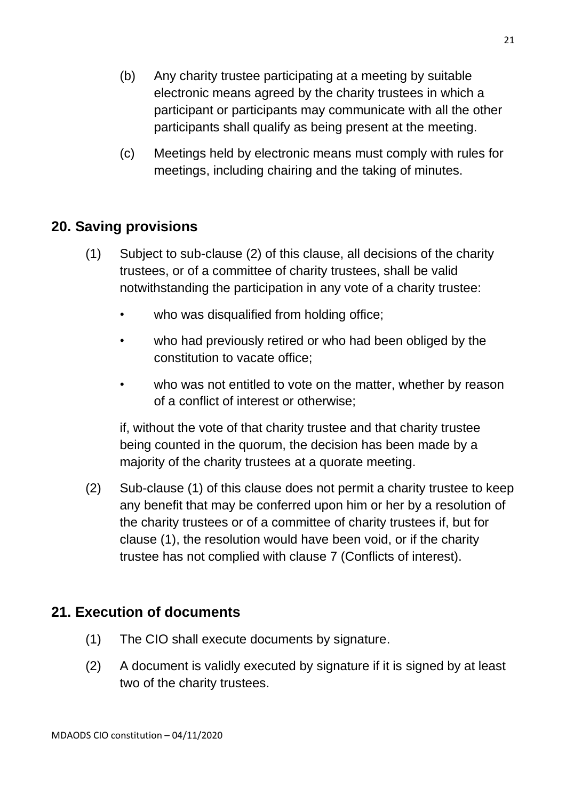- (b) Any charity trustee participating at a meeting by suitable electronic means agreed by the charity trustees in which a participant or participants may communicate with all the other participants shall qualify as being present at the meeting.
- (c) Meetings held by electronic means must comply with rules for meetings, including chairing and the taking of minutes.

## **20. Saving provisions**

- (1) Subject to sub-clause (2) of this clause, all decisions of the charity trustees, or of a committee of charity trustees, shall be valid notwithstanding the participation in any vote of a charity trustee:
	- who was disqualified from holding office;
	- who had previously retired or who had been obliged by the constitution to vacate office;
	- who was not entitled to vote on the matter, whether by reason of a conflict of interest or otherwise;

if, without the vote of that charity trustee and that charity trustee being counted in the quorum, the decision has been made by a majority of the charity trustees at a quorate meeting.

(2) Sub-clause (1) of this clause does not permit a charity trustee to keep any benefit that may be conferred upon him or her by a resolution of the charity trustees or of a committee of charity trustees if, but for clause (1), the resolution would have been void, or if the charity trustee has not complied with clause 7 (Conflicts of interest).

## **21. Execution of documents**

- (1) The CIO shall execute documents by signature.
- (2) A document is validly executed by signature if it is signed by at least two of the charity trustees.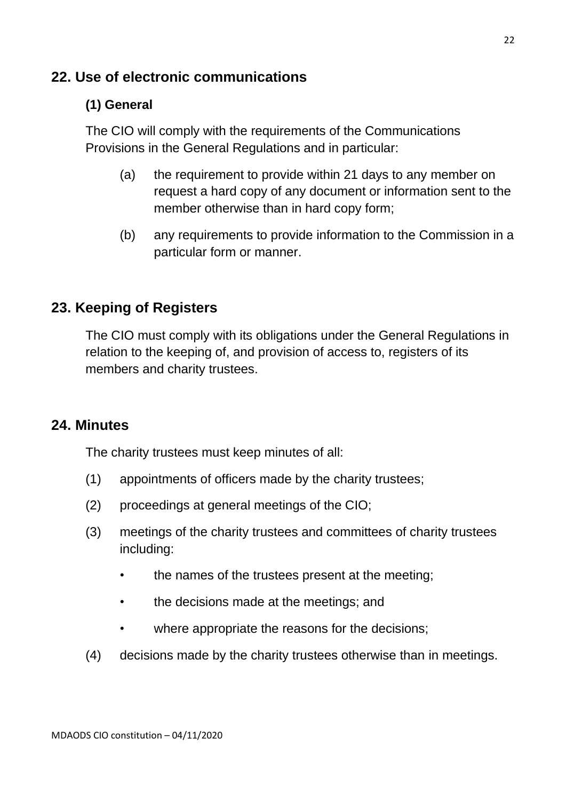## **22. Use of electronic communications**

## **(1) General**

The CIO will comply with the requirements of the Communications Provisions in the General Regulations and in particular:

- (a) the requirement to provide within 21 days to any member on request a hard copy of any document or information sent to the member otherwise than in hard copy form;
- (b) any requirements to provide information to the Commission in a particular form or manner.

# **23. Keeping of Registers**

The CIO must comply with its obligations under the General Regulations in relation to the keeping of, and provision of access to, registers of its members and charity trustees.

## **24. Minutes**

The charity trustees must keep minutes of all:

- (1) appointments of officers made by the charity trustees;
- (2) proceedings at general meetings of the CIO;
- (3) meetings of the charity trustees and committees of charity trustees including:
	- the names of the trustees present at the meeting;
	- the decisions made at the meetings; and
	- where appropriate the reasons for the decisions;
- (4) decisions made by the charity trustees otherwise than in meetings.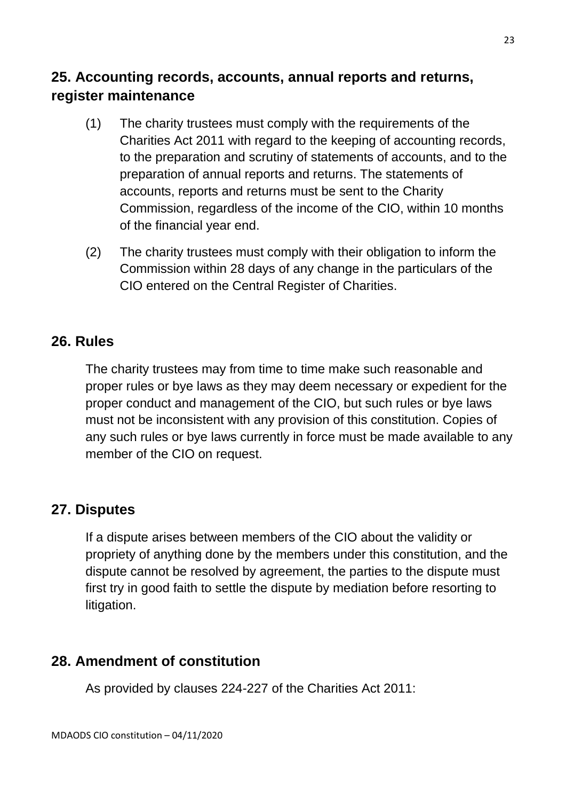# **25. Accounting records, accounts, annual reports and returns, register maintenance**

- (1) The charity trustees must comply with the requirements of the Charities Act 2011 with regard to the keeping of accounting records, to the preparation and scrutiny of statements of accounts, and to the preparation of annual reports and returns. The statements of accounts, reports and returns must be sent to the Charity Commission, regardless of the income of the CIO, within 10 months of the financial year end.
- (2) The charity trustees must comply with their obligation to inform the Commission within 28 days of any change in the particulars of the CIO entered on the Central Register of Charities.

## **26. Rules**

The charity trustees may from time to time make such reasonable and proper rules or bye laws as they may deem necessary or expedient for the proper conduct and management of the CIO, but such rules or bye laws must not be inconsistent with any provision of this constitution. Copies of any such rules or bye laws currently in force must be made available to any member of the CIO on request.

# **27. Disputes**

If a dispute arises between members of the CIO about the validity or propriety of anything done by the members under this constitution, and the dispute cannot be resolved by agreement, the parties to the dispute must first try in good faith to settle the dispute by mediation before resorting to litigation.

## **28. Amendment of constitution**

As provided by clauses 224-227 of the Charities Act 2011: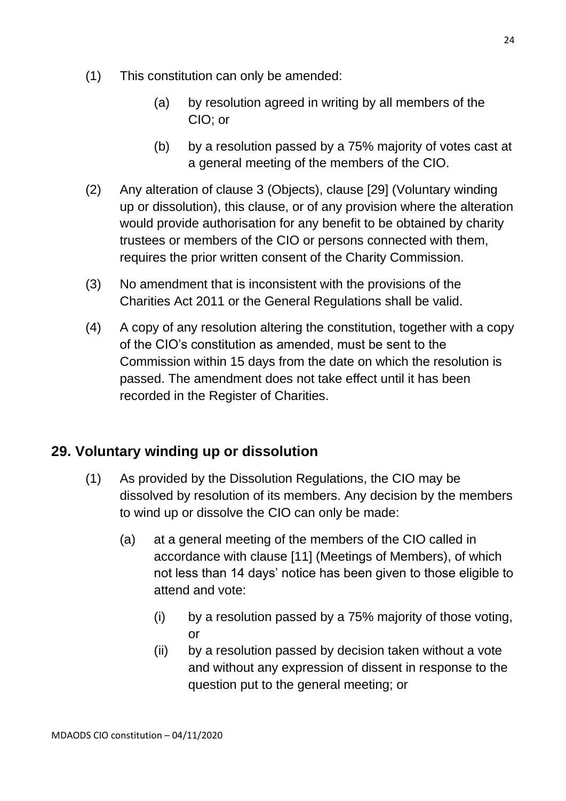- (1) This constitution can only be amended:
	- (a) by resolution agreed in writing by all members of the CIO; or
	- (b) by a resolution passed by a 75% majority of votes cast at a general meeting of the members of the CIO.
- (2) Any alteration of clause 3 (Objects), clause [29] (Voluntary winding up or dissolution), this clause, or of any provision where the alteration would provide authorisation for any benefit to be obtained by charity trustees or members of the CIO or persons connected with them, requires the prior written consent of the Charity Commission.
- (3) No amendment that is inconsistent with the provisions of the Charities Act 2011 or the General Regulations shall be valid.
- (4) A copy of any resolution altering the constitution, together with a copy of the CIO's constitution as amended, must be sent to the Commission within 15 days from the date on which the resolution is passed. The amendment does not take effect until it has been recorded in the Register of Charities.

# **29. Voluntary winding up or dissolution**

- (1) As provided by the Dissolution Regulations, the CIO may be dissolved by resolution of its members. Any decision by the members to wind up or dissolve the CIO can only be made:
	- (a) at a general meeting of the members of the CIO called in accordance with clause [11] (Meetings of Members), of which not less than 14 days' notice has been given to those eligible to attend and vote:
		- (i) by a resolution passed by a 75% majority of those voting, or
		- (ii) by a resolution passed by decision taken without a vote and without any expression of dissent in response to the question put to the general meeting; or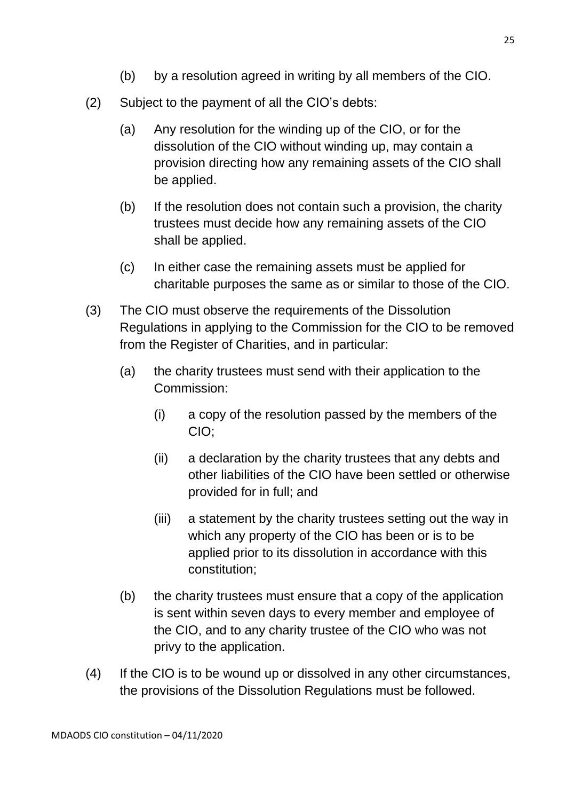- (b) by a resolution agreed in writing by all members of the CIO.
- (2) Subject to the payment of all the CIO's debts:
	- (a) Any resolution for the winding up of the CIO, or for the dissolution of the CIO without winding up, may contain a provision directing how any remaining assets of the CIO shall be applied.
	- (b) If the resolution does not contain such a provision, the charity trustees must decide how any remaining assets of the CIO shall be applied.
	- (c) In either case the remaining assets must be applied for charitable purposes the same as or similar to those of the CIO.
- (3) The CIO must observe the requirements of the Dissolution Regulations in applying to the Commission for the CIO to be removed from the Register of Charities, and in particular:
	- (a) the charity trustees must send with their application to the Commission:
		- (i) a copy of the resolution passed by the members of the CIO;
		- (ii) a declaration by the charity trustees that any debts and other liabilities of the CIO have been settled or otherwise provided for in full; and
		- (iii) a statement by the charity trustees setting out the way in which any property of the CIO has been or is to be applied prior to its dissolution in accordance with this constitution;
	- (b) the charity trustees must ensure that a copy of the application is sent within seven days to every member and employee of the CIO, and to any charity trustee of the CIO who was not privy to the application.
- (4) If the CIO is to be wound up or dissolved in any other circumstances, the provisions of the Dissolution Regulations must be followed.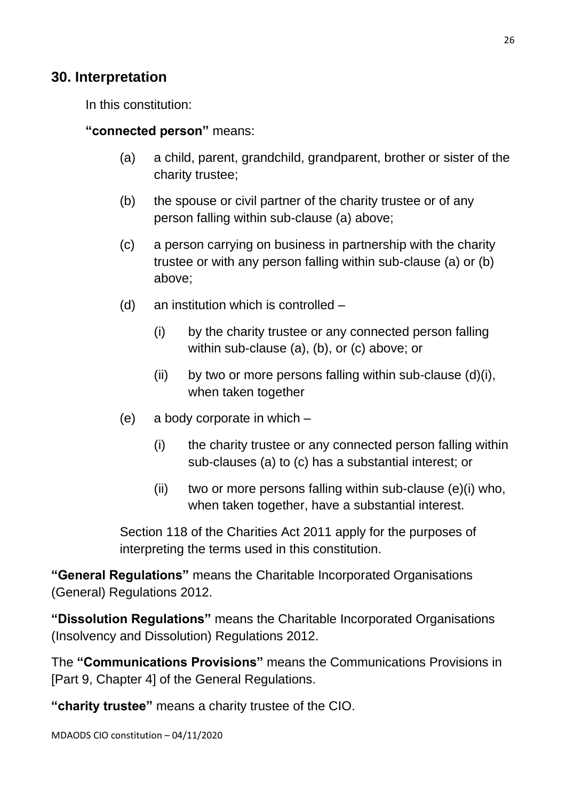## **30. Interpretation**

In this constitution:

#### **"connected person"** means:

- (a) a child, parent, grandchild, grandparent, brother or sister of the charity trustee;
- (b) the spouse or civil partner of the charity trustee or of any person falling within sub-clause (a) above;
- (c) a person carrying on business in partnership with the charity trustee or with any person falling within sub-clause (a) or (b) above;
- (d) an institution which is controlled
	- (i) by the charity trustee or any connected person falling within sub-clause (a), (b), or (c) above; or
	- (ii) by two or more persons falling within sub-clause (d)(i), when taken together
- (e) a body corporate in which
	- (i) the charity trustee or any connected person falling within sub-clauses (a) to (c) has a substantial interest; or
	- (ii) two or more persons falling within sub-clause (e)(i) who, when taken together, have a substantial interest.

Section 118 of the Charities Act 2011 apply for the purposes of interpreting the terms used in this constitution.

**"General Regulations"** means the Charitable Incorporated Organisations (General) Regulations 2012.

**"Dissolution Regulations"** means the Charitable Incorporated Organisations (Insolvency and Dissolution) Regulations 2012.

The **"Communications Provisions"** means the Communications Provisions in [Part 9, Chapter 4] of the General Regulations.

**"charity trustee"** means a charity trustee of the CIO.